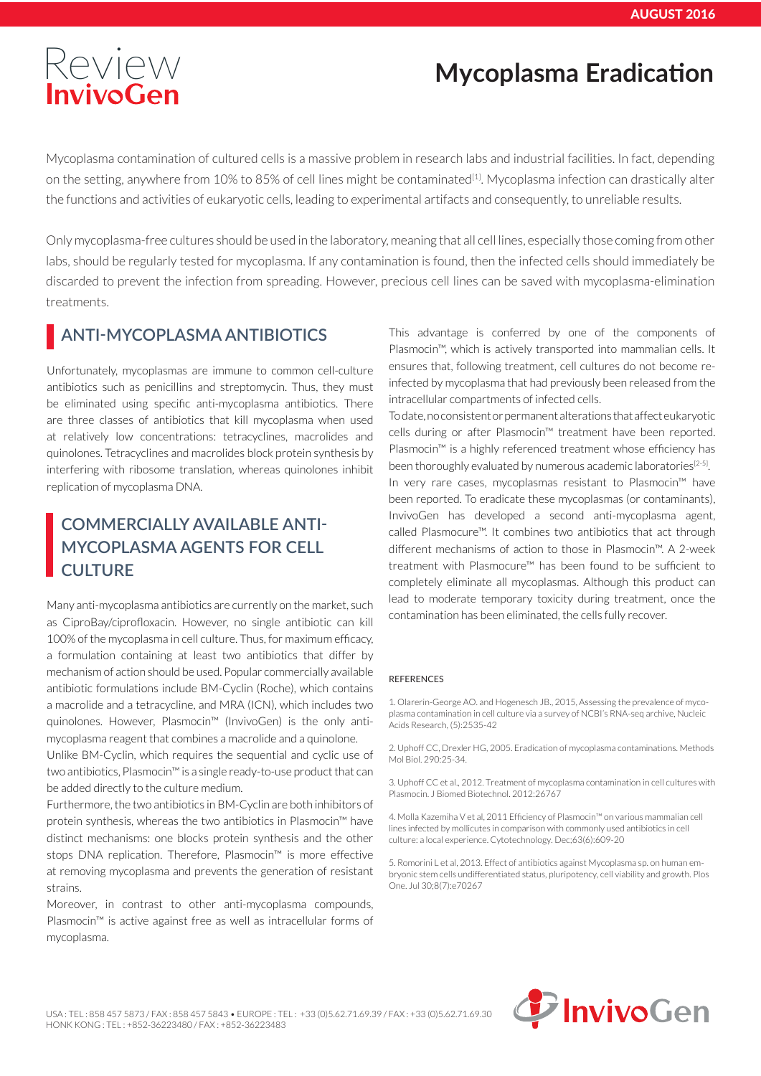# [Review](http://www.invivogen.com) **Mycoplasma Eradication**

Mycoplasma contamination of cultured cells is a massive problem in research labs and industrial facilities. In fact, depending on the setting, anywhere from 10% to 85% of cell lines might be contaminated<sup>[1]</sup>. Mycoplasma infection can drastically alter the functions and activities of eukaryotic cells, leading to experimental artifacts and consequently, to unreliable results.

Only mycoplasma-free cultures should be used in the laboratory, meaning that all cell lines, especially those coming from other labs, should be regularly tested for mycoplasma. If any contamination is found, then the infected cells should immediately be discarded to prevent the infection from spreading. However, precious cell lines can be saved with mycoplasma-elimination treatments.

## **ANTI-MYCOPLASMA ANTIBIOTICS**

Unfortunately, mycoplasmas are immune to common cell-culture antibiotics such as penicillins and streptomycin. Thus, they must be eliminated using specific anti-mycoplasma antibiotics. There are three classes of antibiotics that kill mycoplasma when used at relatively low concentrations: tetracyclines, macrolides and quinolones. Tetracyclines and macrolides block protein synthesis by interfering with ribosome translation, whereas quinolones inhibit replication of mycoplasma DNA.

## **COMMERCIALLY AVAILABLE ANTI-MYCOPLASMA AGENTS FOR CELL CULTURE**

Many anti-mycoplasma antibiotics are currently on the market, such as CiproBay/ciprofloxacin. However, no single antibiotic can kill 100% of the mycoplasma in cell culture. Thus, for maximum efficacy, a formulation containing at least two antibiotics that differ by mechanism of action should be used. Popular commercially available antibiotic formulations include BM-Cyclin (Roche), which contains a macrolide and a tetracycline, and MRA (ICN), which includes two quinolones. However, Plasmocin™ (InvivoGen) is the only antimycoplasma reagent that combines a macrolide and a quinolone.

Unlike BM-Cyclin, which requires the sequential and cyclic use of two antibiotics, Plasmocin™ is a single ready-to-use product that can be added directly to the culture medium.

Furthermore, the two antibiotics in BM-Cyclin are both inhibitors of protein synthesis, whereas the two antibiotics in Plasmocin™ have distinct mechanisms: one blocks protein synthesis and the other stops DNA replication. Therefore, Plasmocin™ is more effective at removing mycoplasma and prevents the generation of resistant strains.

Moreover, in contrast to other anti-mycoplasma compounds, Plasmocin™ is active against free as well as intracellular forms of mycoplasma.

This advantage is conferred by one of the components of Plasmocin™, which is actively transported into mammalian cells. It ensures that, following treatment, cell cultures do not become reinfected by mycoplasma that had previously been released from the intracellular compartments of infected cells.

To date, no consistent or permanent alterations that affect eukaryotic cells during or after Plasmocin™ treatment have been reported. Plasmocin™ is a highly referenced treatment whose efficiency has been thoroughly evaluated by numerous academic laboratories<sup>[2-5]</sup>. In very rare cases, mycoplasmas resistant to Plasmocin™ have been reported. To eradicate these mycoplasmas (or contaminants), InvivoGen has developed a second anti-mycoplasma agent, called Plasmocure™. It combines two antibiotics that act through different mechanisms of action to those in Plasmocin™. A 2-week treatment with Plasmocure™ has been found to be sufficient to completely eliminate all mycoplasmas. Although this product can lead to moderate temporary toxicity during treatment, once the contamination has been eliminated, the cells fully recover.

#### REFERENCES

1. Olarerin-George AO. and Hogenesch JB., 2015, Assessing the prevalence of mycoplasma contamination in cell culture via a survey of NCBI's RNA-seq archive, Nucleic Acids Research, (5):2535-42

2. Uphoff CC, Drexler HG, 2005. Eradication of mycoplasma contaminations. Methods Mol Biol. 290:25-34.

3. Uphoff CC et al., 2012. Treatment of mycoplasma contamination in cell cultures with Plasmocin. J Biomed Biotechnol. 2012:26767

4. Molla Kazemiha V et al, 2011 Efficiency of Plasmocin™ on various mammalian cell lines infected by mollicutes in comparison with commonly used antibiotics in cell culture: a local experience. Cytotechnology. Dec;63(6):609-20

5. Romorini L et al, 2013. Effect of antibiotics against Mycoplasma sp. on human embryonic stem cells undifferentiated status, pluripotency, cell viability and growth. Plos One. Jul 30;8(7):e70267